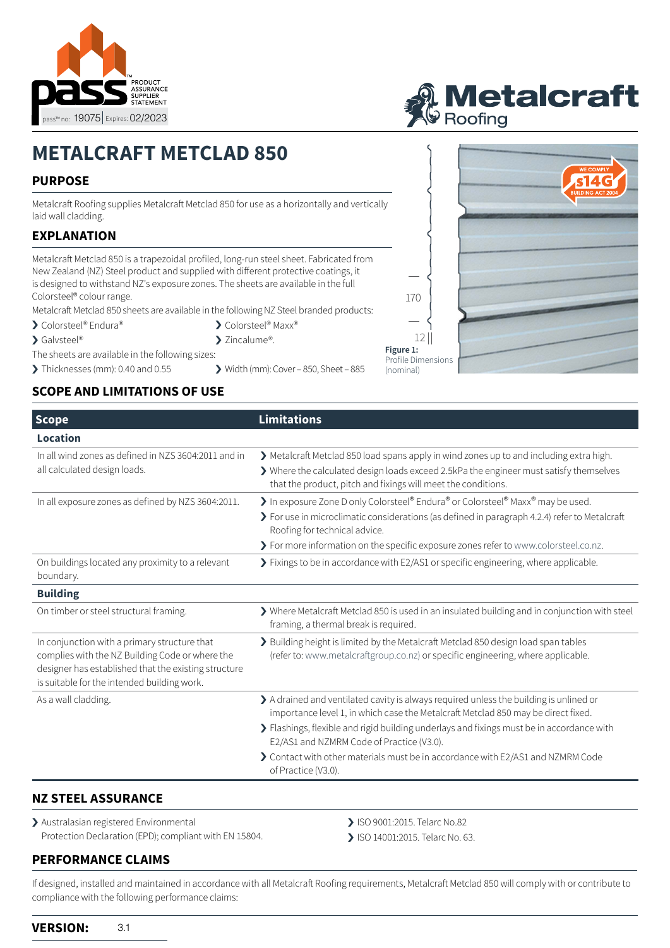



# **METALCRAFT METCLAD 850**

## **PURPOSE**

Metalcraft Roofing supplies Metalcraft Metclad 850 for use as a horizontally and vertical laid wall cladding.

## **EXPLANATION**

Metalcraft Metclad 850 is a trapezoidal profiled, long-run steel sheet. Fabricated from New Zealand (NZ) Steel product and supplied with different protective coatings, it is designed to withstand NZ's exposure zones. The sheets are available in the full Colorsteel® colour range.

Metalcraft Metclad 850 sheets are available in the following NZ Steel branded products:

▶ Colorsteel® Maxx® > Zincalume<sup>®</sup>.

- > Colorsteel® Endura®
- > Galvsteel®
- The sheets are available in the following sizes:
- > Thicknesses (mm): 0.40 and 0.55 > Width (mm): Cover 850, Sheet 885

## **SCOPE AND LIMITATIONS OF USE**

| ally |           |  |
|------|-----------|--|
|      |           |  |
|      |           |  |
|      |           |  |
|      | 170       |  |
|      |           |  |
|      | 12        |  |
|      | Figure 1: |  |

(nominal)



| <b>Limitations</b>                                                                                                                                                                                                                                                                                                                                                                                                              |
|---------------------------------------------------------------------------------------------------------------------------------------------------------------------------------------------------------------------------------------------------------------------------------------------------------------------------------------------------------------------------------------------------------------------------------|
|                                                                                                                                                                                                                                                                                                                                                                                                                                 |
| > Metalcraft Metclad 850 load spans apply in wind zones up to and including extra high.<br>> Where the calculated design loads exceed 2.5kPa the engineer must satisfy themselves<br>that the product, pitch and fixings will meet the conditions.                                                                                                                                                                              |
| In exposure Zone D only Colorsteel® Endura® or Colorsteel® Maxx® may be used.<br>> For use in microclimatic considerations (as defined in paragraph 4.2.4) refer to Metalcraft<br>Roofing for technical advice.<br>> For more information on the specific exposure zones refer to www.colorsteel.co.nz.                                                                                                                         |
| > Fixings to be in accordance with E2/AS1 or specific engineering, where applicable.                                                                                                                                                                                                                                                                                                                                            |
|                                                                                                                                                                                                                                                                                                                                                                                                                                 |
| > Where Metalcraft Metclad 850 is used in an insulated building and in conjunction with steel<br>framing, a thermal break is required.                                                                                                                                                                                                                                                                                          |
| > Building height is limited by the Metalcraft Metclad 850 design load span tables<br>(refer to: www.metalcraftgroup.co.nz) or specific engineering, where applicable.                                                                                                                                                                                                                                                          |
| > A drained and ventilated cavity is always required unless the building is unlined or<br>importance level 1, in which case the Metalcraft Metclad 850 may be direct fixed.<br>> Flashings, flexible and rigid building underlays and fixings must be in accordance with<br>E2/AS1 and NZMRM Code of Practice (V3.0).<br>> Contact with other materials must be in accordance with E2/AS1 and NZMRM Code<br>of Practice (V3.0). |
|                                                                                                                                                                                                                                                                                                                                                                                                                                 |

### **NZ STEEL ASSURANCE**

> Australasian registered Environmental Protection Declaration (EPD); compliant with EN 15804.

**PERFORMANCE CLAIMS**

- > ISO 9001:2015. Telarc No.82
- > ISO 14001:2015. Telarc No. 63.

If designed, installed and maintained in accordance with all Metalcraft Roofing requirements, Metalcraft Metclad 850 will comply with or contribute to compliance with the following performance claims: